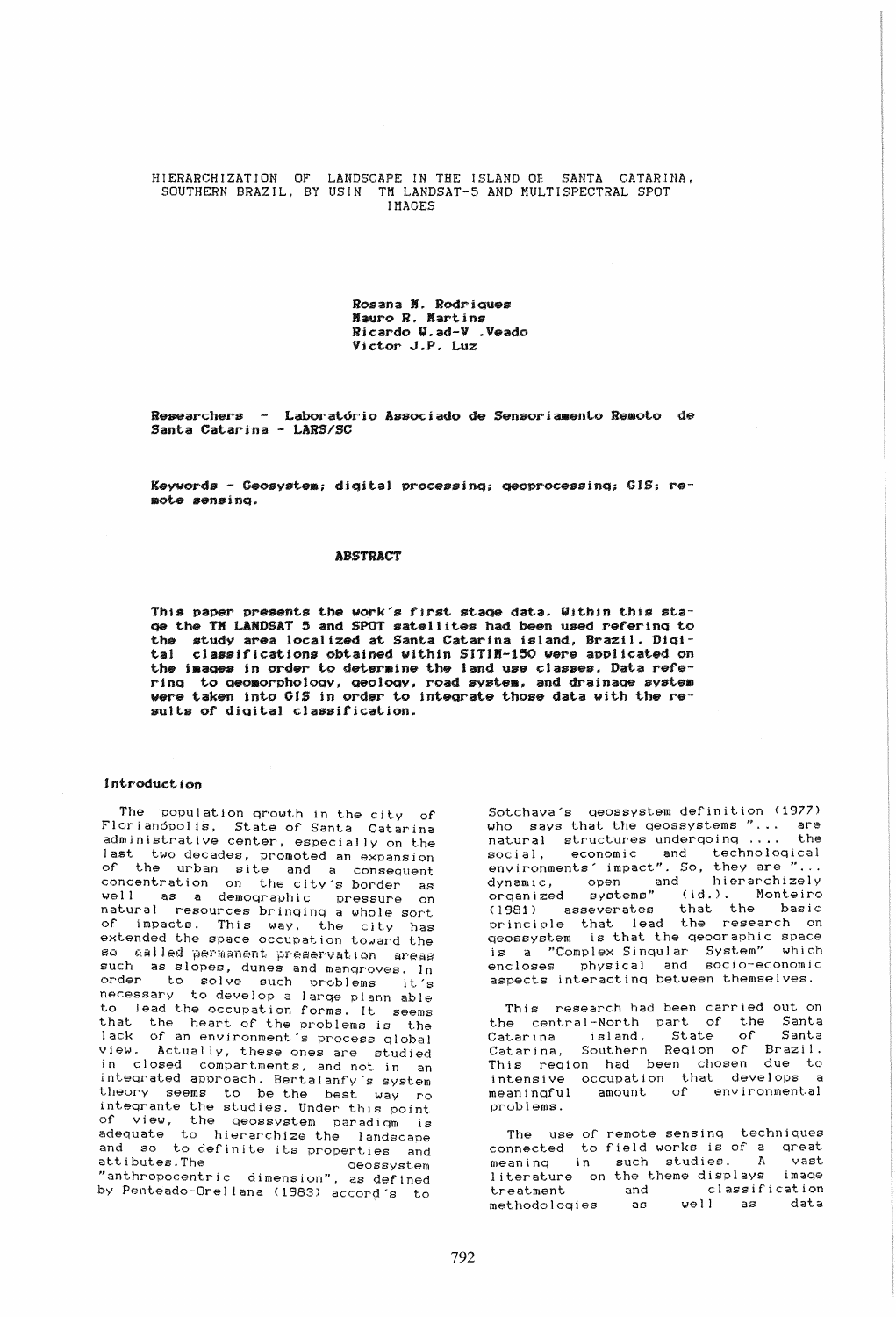HIERARCHIZATION OF LANDSCAPE IN THE ISLAND OF SANTA CATARINA. SOUTHERN BRAZIL, BY USIN TM LANDSAT-5 AND MULTISPECTRAL SPOT **IMAGES** 

> Rosana N. Rodriques Mauro R. Martins Ricardo W.ad-V .Veado Victor J.P. Luz

Researchers - Laboratório Associado de Sensoriamento Remoto de Santa Catarina - LARS/SC

Keywords - Geosystem; digital processing; geoprocessing; GIS; remote sensina.

## **ABSTRACT**

This paper presents the work's first stage data. Within this stage the TH LANDSAT 5 and SPOT satellites had been used refering to the study area localized at Santa Catarina island, Brazil. Digital classifications obtained within SITIM-150 were applicated on the images in order to determine the land use classes. Data refering to geomorphology, geology, road system, and drainage system<br>were taken into GIS in order to integrate those data with the results of digital classification.

# Introduction

The population growth in the city of Florianopolis, State of Santa Catarina<br>administrative center, especially on the last two decades, promoted an expansion of the urban site and a consequent concentration on the city's border as<br>well as a demographic pressure on natural resources bringing a whole sort of impacts. This way, the city has extended the space occupation toward the so called permanent preservation areas such as slopes, dunes and mangroves. In<br>order to solve such problems it's<br>necessary to develop a large plann able to lead the occupation forms. It seems that the heart of the problems is the<br>lack of an environment's process global  $view.$ Actually, these ones are studied in closed compartments, and not in an integrated approach. Bertalanfy's system theory seems to be the best way ro integrante the studies. Under this point of view, the geossystem paradigm is<br>adequate to hierarchize the landscape and so to definite its properties and attibutes. The aeossvstem "anthropocentric dimension", as defined by Penteado-Orellana (1983) accord's to

Sotchava's geossystem definition (1977) who says that the geossystems "... are<br>natural structures undergoing .... the natural structures undergoing .... social, economic and technological<br>environments impact". So, they are "... dynamic, open and hierarchizely<br>organized systems" (id.). Monteiro<br>(1981) asseverates that the basic<br>principle that lead the research on geossystem is that the geographic space as a "Complex Singular System" which<br>encloses physical and socio-economic<br>aspects interacting between themselves.

This research had been carried out on the central-North part of the Santa<br>Catarina island, State of Santa<br>Catarina, Southern Region of Brazil.<br>This region had been chosen due to intensive occupation that develops a<br>meaningful amount of environmental problems.

The use of remote sensing techniques connected to field works is of a great meaning in such studies. A vast literature on the theme displays<br>treatment and classifi image and classification  $well$  as methodologies as data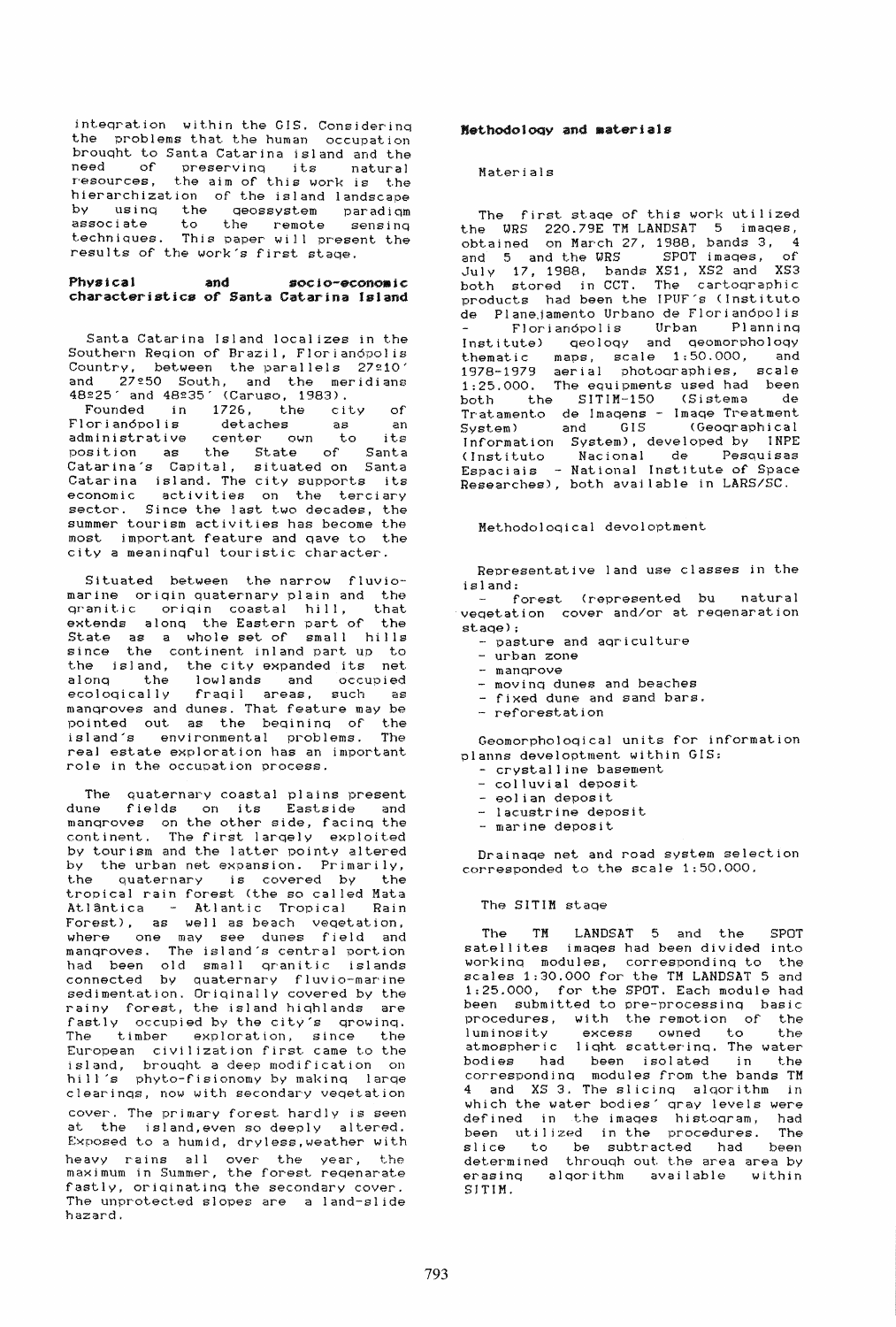inteqration within the GIS. Considerinq the problems that the human occupation brouqht to Santa Catarina island and the need of preservinq its natural resources, the aim of this work is the hierarchization of the island landscape by usinq the qeossystem paradiqm associate to the remote sensing associate to the remote sensing<br>techniques. This paper will present the results of the work's first staqe.

### Physical and socjo-econoaic characteristics of Santa Catarina island

Santa Catarina Island localizes in the Southern Region of Brazil, Florianópolis Country, between the parallels 27210' and 27250 South, and the meridians 48225' and 48235' (Caruso, 1983).

Founded in 1726, the city of Florianópolis detaches as an<br>administrative center own to its administrative center awn to its position as the State of Santa Catarina's Capital, situated on Santa Catarina island. The city supports its economic activities on the terciary economic activities on the terciary<br>sector. Since the last two decades, the summer tourism activities has become the most important feature and qave to the city a meaninqful touristic character.

Situated between the narrow fluviomarine origin quaternary plain and the<br>cranitic origin coastal hill, that qranitic origin coastal hill, extends alonq the Eastern part of the shoomed arough one hassern part of the since the continent inland part up to the island, the city expanded its net alonq the lowlands and occupied ecoloqically fraqil areas, such as manqroves and dunes. That feature may be pointed out as the beqininq of the island's environmental problems. The real estate exploration has an important role in the occupation process.

The quaternary coastal plains present dune fields on its Eastside and manqroves on the other side, facinq the continent. The first larqely exploited by tourism and the latter pointy altered by the urban net expansion. Primarily, the quaternary is covered by the tropical rain forest (the so called Mata Atlântica - Atlantic Tropical Rain Forest), as well as beach vegetation, where one may see dunes field and mangroves. The island's central portion had been old small qranitlc islands connected by quaternary fluvio-marine sedimentation. Originally covered by the rainy forest, the island hiqhlands are fastly occupied by the city's qrowinq. The timber exploration, since the European civilization first came to the island, brouqht a deep modification on hill's phyto-fisionomy by makinq larqe clearinqs, now with secondary veqetation cover. The primary forest hardly is seen at the island,even so deeply altered. Exposed to a humid, drvless,weather with heavy rains allover the year, the maximum in Summer, the foresl reqenarate fastly, oriqinatinq the secondary cover. The unprotected slopes are a land-slide hazard.

## HethodolOQY and aaterials

#### Mat.erials

The first staqe of this work utilized the WRS 220.79E TM LANDSAT 5 imaqes, obtained on March 27, 1988, bands 3, 4 and 5 and the WRS SPOT images, of July 17, 1988, bands XS1, XS2 and XS3 both stored in CCT. The cartoqraphic products had been the IPUF's (Instituto de Planejamento Urbano de Florian6polis FJorian6polis Urban Planninq Institute) qeoloqy and qeomorpho}oqy t.hematic maps, scale 1;50.000, and 1978-1979 aerial photoqraphies, scale 1;25.000. The equipments used had been both the SITIM-150 (Sistema de Tratamento de Imaqens - Imaqe Treatment System) and GIS (Geoqraphical Information System), developed by INPE (Instituto Nacional de Pesquisas Espaciais - National Institute of Space Researches), both available in LARS/SC.

Methodoloqical devoioptment

Representative land use classes in the island:

forest (represented bu natural veqetation cover and/or at reqenaration staqe) ;

- pasture and aqriculture

- urban zone
- manqrove
- movinq dunes and beaches
- fixed dune and sand bars.
- reforestation

Geomorpholoqical units for information planns developtment within GIS;

- crystalline basement
- colluvial deposit
- eolian deposit
- lacustrine deposit
- marine deposit

Drainaqe net and road system selection corresponded to the scale 1;50.000.

#### The SITIM stage

The TM LANDSAT 5 and the SPOT satellites imaqes had been divided into workinq modules, correspondinq to the scales 1:30.000 for the TM LANDSAT 5 and 1;25.000, for the SPOT. Each module had been submitted to pre-processinq basic procedures, with the remotion of the luminosity excess owned to the atmospheric liqht scatterinq. The water bodies had been isolated in the correspondinq modules from the bands TM 4 and XS 3. The slicinq alqorithm in which the water bodies' qray levels were defined in the imaqes histoqram, had been utilized in the procedures. The slice to be subtracted had been determined through out the area area by erasinq alqorithm available within SJTIM.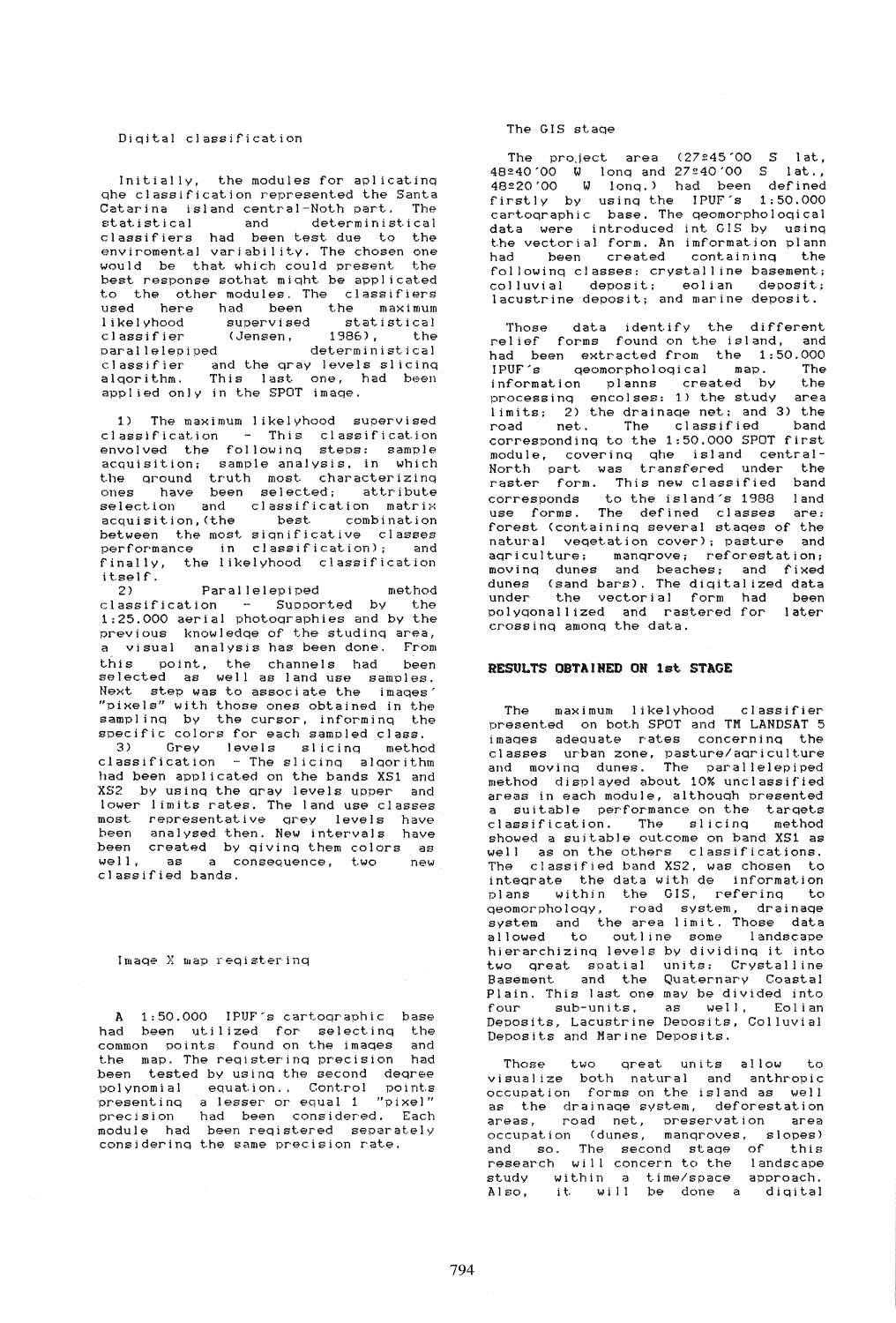#### Diqital classification

Initially, the modules for aplicatinq qhe classification represented the Santa Catarina island central-Noth part. The statistical and deterministical classifiers had been test due to the enviromentaJ variability. The chosen one would be that which could present the best response sothat miqht be applicated to the other modules. The classifiers used here had been the maximum likelyhood supervised statistical classifier (Jensen, 1986), the parallelepiped deterministical classifier and the qray levels slicinq alqorithm. This last. one, had been applied only in the SPOT imaqe.

1) The maximum likelyhood supervised classification - This classification envolved the followinq steps; sample acquisition; sample analysis, in which the qround truth most characterizinq ones have been selected; attribute selection and classification matrix acquisition, (the best combination between the most siqnificative classes performance in classification); and finally, the likelYhood classification itself.<br>2)

2) Parallelepiped method classification - Supported by the 1:25.000 aerial photoqraphies and by the previous knowledqe of the studinq area, a visual analysis has been done. From this point, the channels had been selected as well as land use samples. Next step was to associate the imaqes "pixels" with those ones obtained in the samplinq by the cursor, informinq the specific colors for each sampled class. 3) Grey levels slicinq method classification - The slicinq alqorithm

had been applicated on the bands XSI and XS2 by usinq the qray levels upper and lower limits rates. The land use classes most representative qrey levels have been analysed then. New intervals have been created by qivinq them colors as well, as a consequence, two new classified bands.

#### Imaqe X map reqistering

A 1:50.000 IPUF's cartoqraphic base had been utilized for selecting the<br>common points found\_on\_the\_images\_and common points found on the images the map. The reqisterinq precision had been tested by usinq the second deqree polynomial equation.. Control points presentinq a lesser or equal 1 "pixe]" precision had been considered. Each module had been reqistered separately considering the same precision rate.

## The GIS staqe

The pro, ject area  $(27:45'00 S$  lat. 48240'00 ~ lonq and 27£40'00 Slat., 48220'00 ~ lonq.) had been defined firstly by using the IPUF's 1:50.000 cartoqraphic base. The qeomorpholoqical data were introduced int GIS by usinq the vectorial form. An imformation plann heen created containing the followinq classes: crystalline basement; colluvial deposit; eolian deposit; lacustrine deposit; and marine deposit.

Those data identify the different relief forms found on the island, and had been extracted from the 1:50.000<br>JPUF's geomorphological map. The IPUF's qeomorphological map. information planns created by the processinq encolses: 1) the study area limits; 2) the drainaqe net; and 3) the rimited, the classified band correspondinq to the 1:50.000 SPOT first module, coverinq qhe island central-North part was transfered under the raster form. This new classified band corresponds to the island's 1988 land use forms. The defined classes are: forest (containinq several staqes of the natural veqetation cover); pasture and aqriculture; manqrove; reforestation; movinq dunes and beaches; and fixed dunes (sand bars). The diqitalized data under the vectorial form had been Dolyqonallized and rastered for later crossinq amonq the data.

### RESULTS OBTAINED ON 1st STAGE

The maximum likelYhood classifier presented on both SPOT and TM LANDSAT 5 imaqes adequate rates concerninq the classes urban zone, pasture/aqriculture and movinq dunes. The parallelepiped and moving dunes. The parallelepiped<br>method displayed about 10% unclassified areas in each module, althouqh presented a suitable performance on the targets classification. The slicing method showed a suitable outcome on band XSI as well as on the others classifications. The classified band XS2. was chosen to inteqrate the data with de information plans within the GIS, referinq to qeomorpho!oqy, road system, drainaqe system and the area limit. Those data allowed to outline some landscape hierarchizinq levels by dividinq it into two great spatial units: Crystalline Basement and the Quaternary Coastal Plain. This last one may be divided into<br>four sub-units, as well. Eolian sub-units, as well, Eolian Deposits, Lacustrine Deposits, Colluvial DepOSits and Marine Deposits.

Those two qreat units allow to visualize both natural and anthropic occupation forms on the island as well as the drainaqe system, deforestation areas, road net, Dreservation area occupation (dunes, manqroves, slopes) and so. The second stage of this research will concern to the landscape study within a time/space approach. Also. it will be done a diqital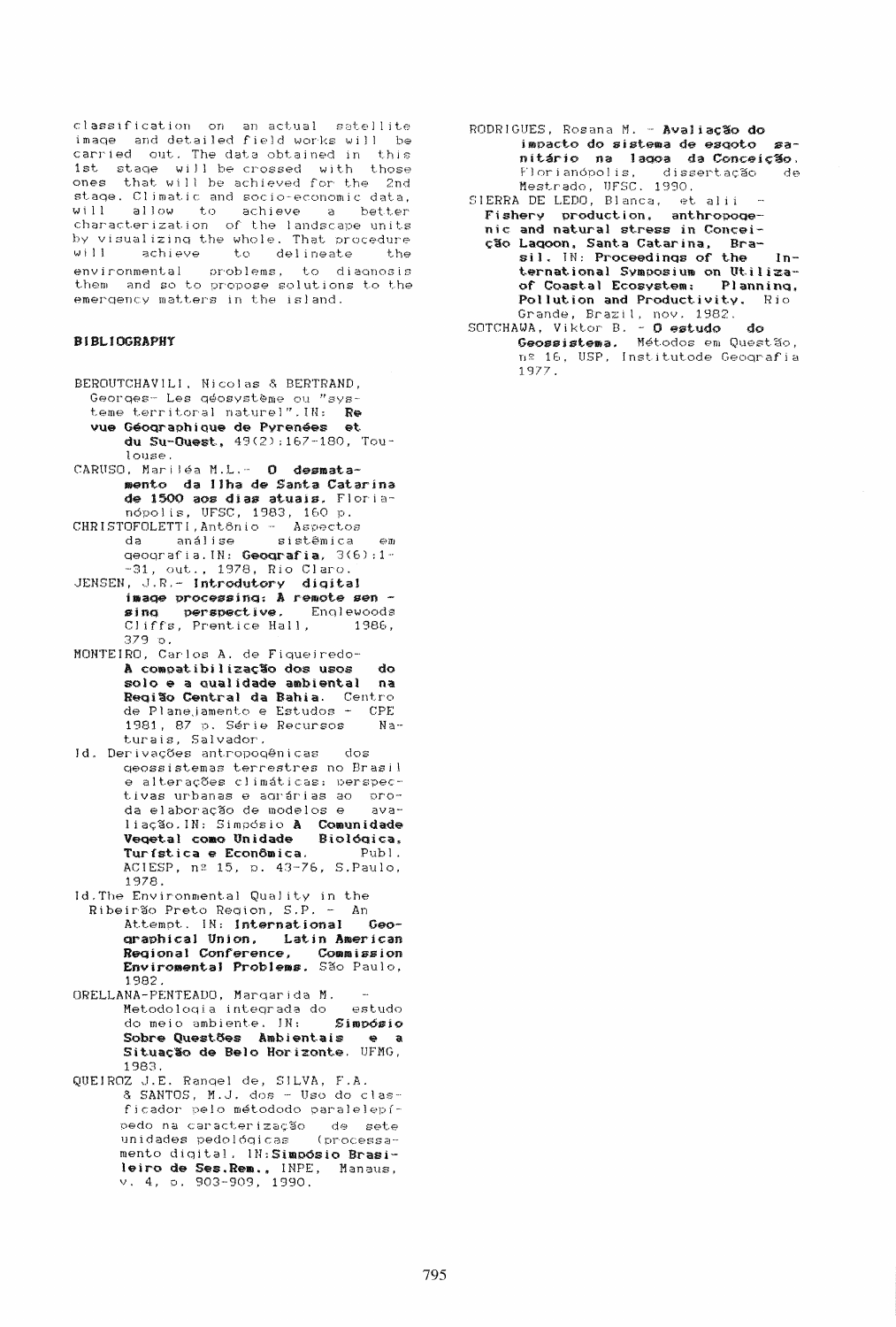classification on an actual satellite<br>image and detailed field works will be carried out. The data obtained in this 1st stage will be crossed with those ones that will be achieved for the 2nd stage. Climatic and socio-economic data, will allow to achieve a better characterization of the landscape units by visualizing the whole. That procedure will achieve to delineate t.he environmental problems, to diagnosis<br>them and so to propose solutions to the emergency matters in the island.

# **BIBLIOGRAPHY**

- BEROUTCHAVILI. Nicolas & BERTRAND, Georges- Les géosystème ou "systeme territoral naturel". IN: Re vue Géographique de Pyrenées et<br>du Su-Ouest, 49(2):167-180, Toulouse.
- CARUSO, Mariléa M.L. O desmatamento da Ilha de Santa Catarina de 1500 aos dias atuais. Florianópolis, UFSC, 1983, 160 p.
- CHRISTOFOLETTI, Antônio Aspectos da análise sistêmica em<br>qeografia.IN: Geografia, 3(6):1- $-31$ , out., 1978, Rio Claro.
- JENSEN, J.R.- Introdutory digital image processing: A remote sen sing perspective. I<br>Cliffs, Prentice Hall, Englewoods 1986.  $379$  o.
- MONTEIRO, Carlos A. de Fiqueiredo-A compatibilização dos usos  $_{\rm do}$ solo e a qualidade ambiental na Região Central da Bahia. Centro<br>de Planejamento e Estudos - CPE 1981, 87 p. Série Recursos  $Na$ turais, Salvador.
- Id. Derivações antropogênicas dos geossistemas terrestres no Brasil e alterações climáticas: perspectivas urbanas e agrárias ao proda elaboração de modelos e avaliação.IN: Simpósio A Comunidade<br>Vegetal como Unidade Biológica,<br>Turística e Econômica. Publ. ACIESP, nº 15, p. 43-76, S.Paulo, 1978.
- Id. The Environmental Quality in the Ribeirão Preto Region, S.P. - An Attempt. IN: International Geographical Union, Latin American Regional Conference, Commission<br>Enviromental Problems. São Paulo,  $1982.$
- ORELLANA-PENTEADO, Margarida M. Metodología integrada do estudo<br>do meio ambiente, IN: 5impósio Sobre Questões Ambientais e a<br>Situação de Belo Horizonte. UFMG, 1983.
- QUEIROZ J.E. Rangel de, SILVA, F.A. & SANTOS, M.J. dos - Uso do clasficador pelo métododo paralelepípedo na caracterização de sete<br>unidades pedológicas (processamento digital. IN: Simpósio Brasileiro de Ses. Rem., INPE, Manaus,  $v. 4, p. 903 - 909, 1990.$
- RODRIGUES, Rosana M. Avaliação do impacto do sistema de esgoto sanitário na lagoa da Conceição. Florianópolis, dissertação de<br>Mestrado, UFSC, 1990.<br>SIERRA DE LEDO, Blanca, et alii -
- Fishery production, anthropogenic and natural stress in Conceicão Lagoon, Santa Catarina, Bra-<br>sil. IN: Proceedings of the  $1n$ ternational Symposium on Utilizaof Coastal Ecosystem: Planning, Pollution and Productivity. Rio
- Grande, Brazil, nov. 1982.<br>SOTCHAWA, Viktor B. **O estudo do**<br>**Geossistema.** Métodos em Questão,<br>nº 16, USP, Institutode Geografia  $1977.$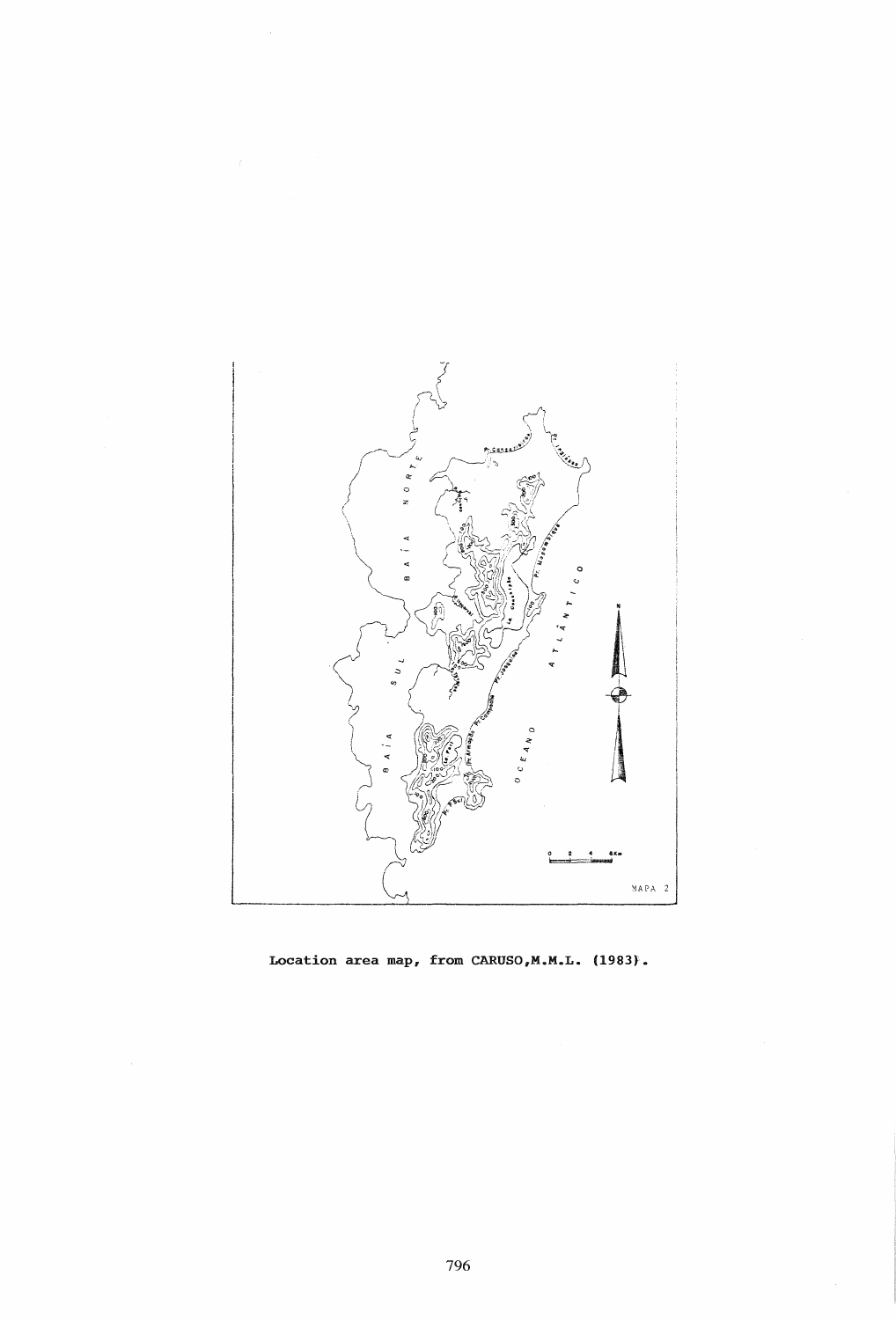

 $\bar{z}$ 

**Location area map, from CARUSO,M.M.L. (1983).**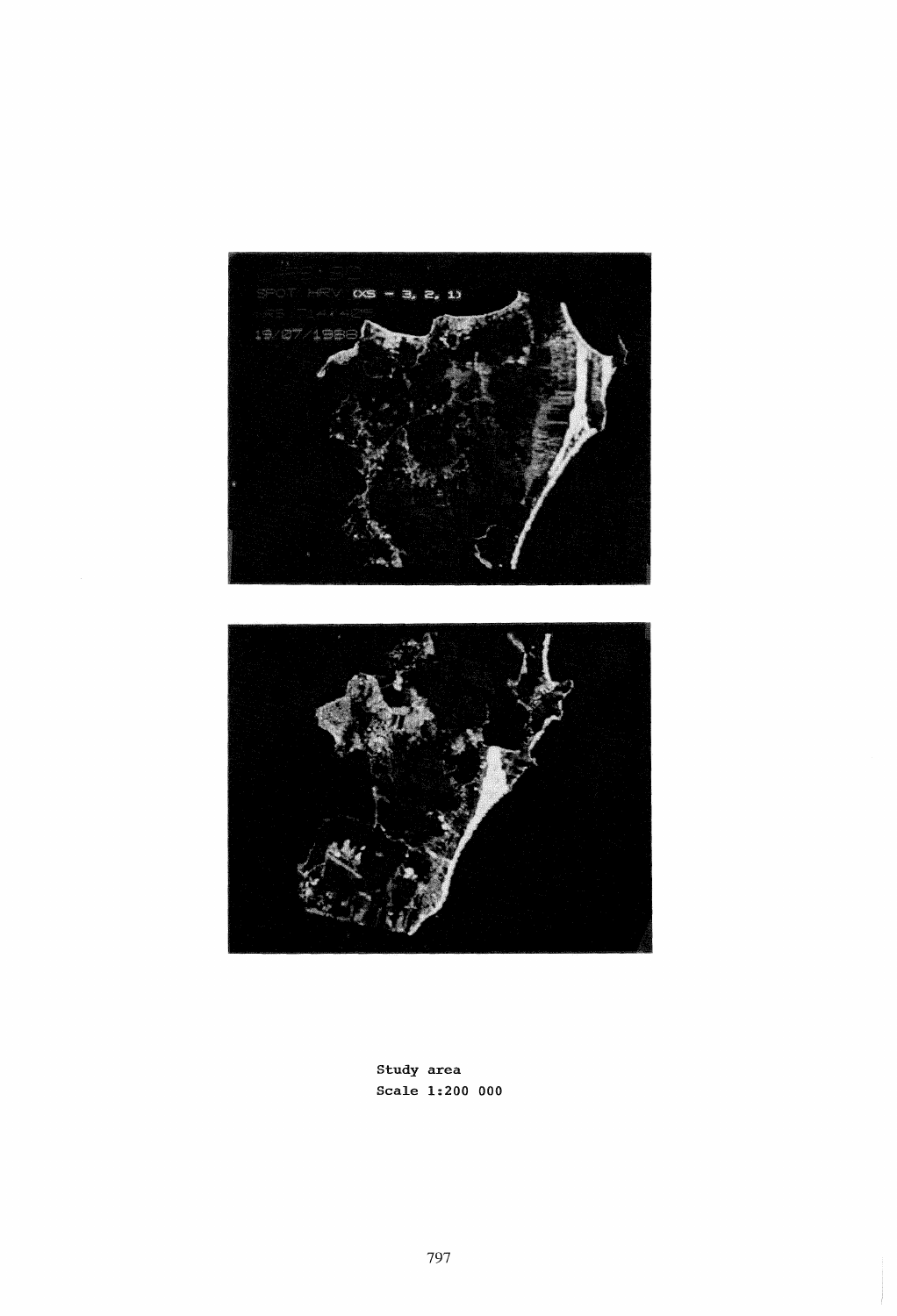



Study area Scale 1:200 000